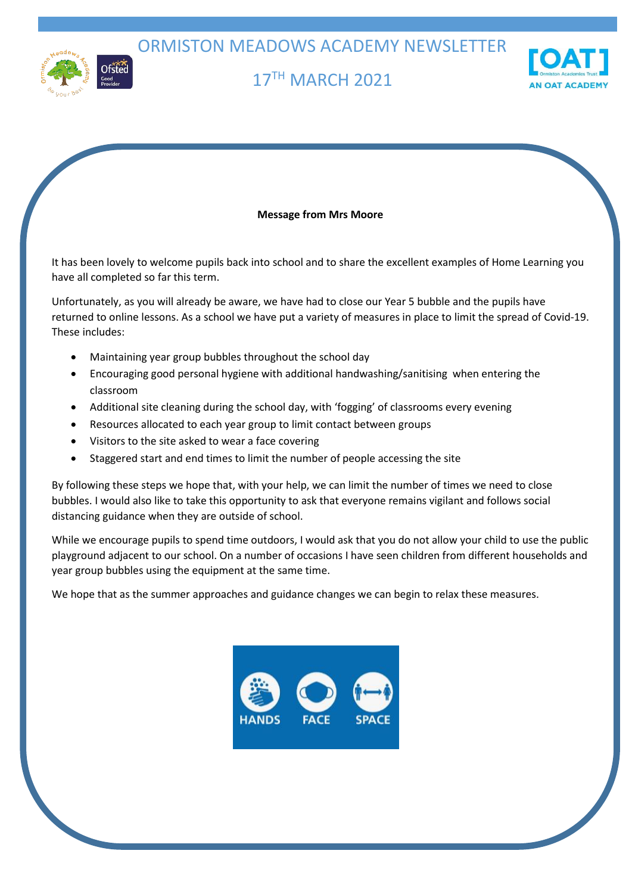ORMISTON MEADOWS ACADEMY NEWSLETTER



# 17TH MARCH 2021



### **Message from Mrs Moore**

It has been lovely to welcome pupils back into school and to share the excellent examples of Home Learning you have all completed so far this term.

Unfortunately, as you will already be aware, we have had to close our Year 5 bubble and the pupils have returned to online lessons. As a school we have put a variety of measures in place to limit the spread of Covid-19. These includes:

- Maintaining year group bubbles throughout the school day
- Encouraging good personal hygiene with additional handwashing/sanitising when entering the classroom
- Additional site cleaning during the school day, with 'fogging' of classrooms every evening
- Resources allocated to each year group to limit contact between groups
- Visitors to the site asked to wear a face covering
- Staggered start and end times to limit the number of people accessing the site

By following these steps we hope that, with your help, we can limit the number of times we need to close bubbles. I would also like to take this opportunity to ask that everyone remains vigilant and follows social distancing guidance when they are outside of school.

While we encourage pupils to spend time outdoors, I would ask that you do not allow your child to use the public playground adjacent to our school. On a number of occasions I have seen children from different households and year group bubbles using the equipment at the same time.

We hope that as the summer approaches and guidance changes we can begin to relax these measures.